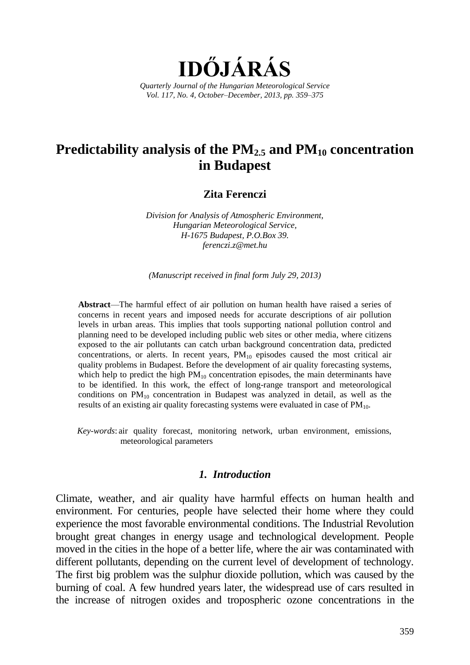

# **Predictability analysis of the PM2.5 and PM<sup>10</sup> concentration in Budapest**

#### **Zita Ferenczi**

*Division for Analysis of Atmospheric Environment, Hungarian Meteorological Service, H-1675 Budapest, P.O.Box 39. ferenczi.z@met.hu*

*(Manuscript received in final form July 29, 2013)*

**Abstract**—The harmful effect of air pollution on human health have raised a series of concerns in recent years and imposed needs for accurate descriptions of air pollution levels in urban areas. This implies that tools supporting national pollution control and planning need to be developed including public web sites or other media, where citizens exposed to the air pollutants can catch urban background concentration data, predicted concentrations, or alerts. In recent years,  $PM_{10}$  episodes caused the most critical air quality problems in Budapest. Before the development of air quality forecasting systems, which help to predict the high  $PM_{10}$  concentration episodes, the main determinants have to be identified. In this work, the effect of long-range transport and meteorological conditions on  $PM_{10}$  concentration in Budapest was analyzed in detail, as well as the results of an existing air quality forecasting systems were evaluated in case of  $PM_{10}$ .

*Key-words*: air quality forecast, monitoring network, urban environment, emissions, meteorological parameters

#### *1. Introduction*

Climate, weather, and air quality have harmful effects on human health and environment. For centuries, people have selected their home where they could experience the most favorable environmental conditions. The Industrial Revolution brought great changes in energy usage and technological development. People moved in the cities in the hope of a better life, where the air was contaminated with different pollutants, depending on the current level of development of technology. The first big problem was the sulphur dioxide pollution, which was caused by the burning of coal. A few hundred years later, the widespread use of cars resulted in the increase of nitrogen oxides and tropospheric ozone concentrations in the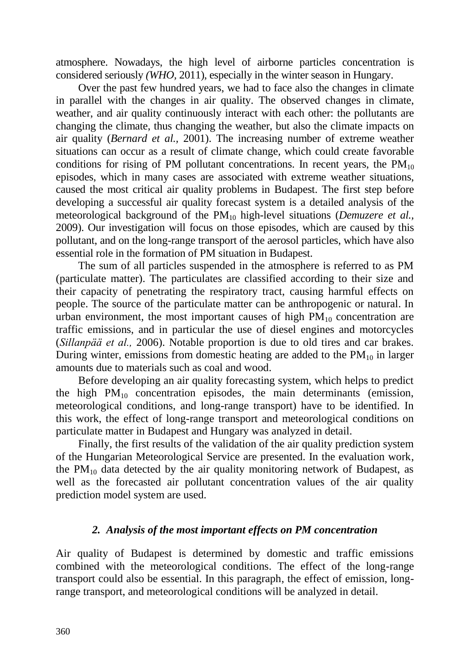atmosphere. Nowadays, the high level of airborne particles concentration is considered seriously *(WHO,* 2011), especially in the winter season in Hungary.

Over the past few hundred years, we had to face also the changes in climate in parallel with the changes in air quality. The observed changes in climate, weather, and air quality continuously interact with each other: the pollutants are changing the climate, thus changing the weather, but also the climate impacts on air quality (*Bernard et al.,* 2001). The increasing number of extreme weather situations can occur as a result of climate change, which could create favorable conditions for rising of PM pollutant concentrations. In recent years, the  $PM_{10}$ episodes, which in many cases are associated with extreme weather situations, caused the most critical air quality problems in Budapest. The first step before developing a successful air quality forecast system is a detailed analysis of the meteorological background of the PM<sup>10</sup> high-level situations (*Demuzere et al.,*  2009). Our investigation will focus on those episodes, which are caused by this pollutant, and on the long-range transport of the aerosol particles, which have also essential role in the formation of PM situation in Budapest.

The sum of all particles suspended in the atmosphere is referred to as PM (particulate matter). The particulates are classified according to their size and their capacity of penetrating the respiratory tract, causing harmful effects on people. The source of the particulate matter can be anthropogenic or natural. In urban environment, the most important causes of high  $PM_{10}$  concentration are traffic emissions, and in particular the use of diesel engines and motorcycles (*Sillanpää et al.,* 2006). Notable proportion is due to old tires and car brakes. During winter, emissions from domestic heating are added to the  $PM_{10}$  in larger amounts due to materials such as coal and wood.

Before developing an air quality forecasting system, which helps to predict the high  $PM_{10}$  concentration episodes, the main determinants (emission, meteorological conditions, and long-range transport) have to be identified. In this work, the effect of long-range transport and meteorological conditions on particulate matter in Budapest and Hungary was analyzed in detail.

Finally, the first results of the validation of the air quality prediction system of the Hungarian Meteorological Service are presented. In the evaluation work, the  $PM_{10}$  data detected by the air quality monitoring network of Budapest, as well as the forecasted air pollutant concentration values of the air quality prediction model system are used.

# *2. Analysis of the most important effects on PM concentration*

Air quality of Budapest is determined by domestic and traffic emissions combined with the meteorological conditions. The effect of the long-range transport could also be essential. In this paragraph, the effect of emission, longrange transport, and meteorological conditions will be analyzed in detail.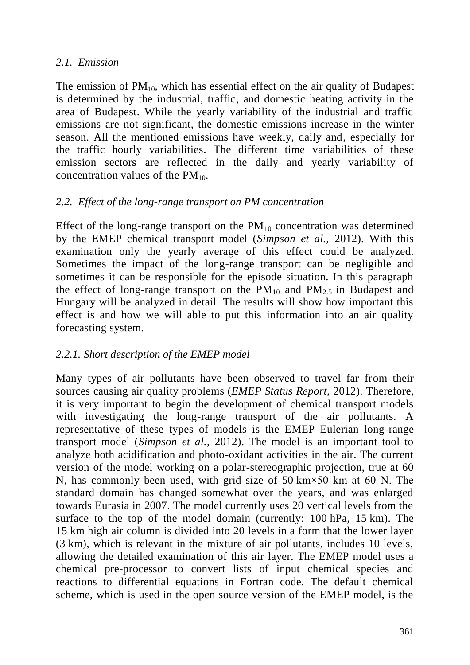# *2.1. Emission*

The emission of  $PM_{10}$ , which has essential effect on the air quality of Budapest is determined by the industrial, traffic, and domestic heating activity in the area of Budapest. While the yearly variability of the industrial and traffic emissions are not significant, the domestic emissions increase in the winter season. All the mentioned emissions have weekly, daily and, especially for the traffic hourly variabilities. The different time variabilities of these emission sectors are reflected in the daily and yearly variability of concentration values of the  $PM_{10}$ .

# *2.2. Effect of the long-range transport on PM concentration*

Effect of the long-range transport on the  $PM_{10}$  concentration was determined by the EMEP chemical transport model (*Simpson et al.,* 2012). With this examination only the yearly average of this effect could be analyzed. Sometimes the impact of the long-range transport can be negligible and sometimes it can be responsible for the episode situation. In this paragraph the effect of long-range transport on the  $PM_{10}$  and  $PM_{25}$  in Budapest and Hungary will be analyzed in detail. The results will show how important this effect is and how we will able to put this information into an air quality forecasting system.

# *2.2.1. Short description of the EMEP model*

Many types of air pollutants have been observed to travel far from their sources causing air quality problems (*EMEP Status Report,* 2012). Therefore, it is very important to begin the development of chemical transport models with investigating the long-range transport of the air pollutants. A representative of these types of models is the EMEP Eulerian long-range transport model (*Simpson et al.,* 2012). The model is an important tool to analyze both acidification and photo-oxidant activities in the air. The current version of the model working on a polar-stereographic projection, true at 60 N, has commonly been used, with grid-size of 50 km×50 km at 60 N. The standard domain has changed somewhat over the years, and was enlarged towards Eurasia in 2007. The model currently uses 20 vertical levels from the surface to the top of the model domain (currently: 100 hPa, 15 km). The 15 km high air column is divided into 20 levels in a form that the lower layer (3 km), which is relevant in the mixture of air pollutants, includes 10 levels, allowing the detailed examination of this air layer. The EMEP model uses a chemical pre-processor to convert lists of input chemical species and reactions to differential equations in Fortran code. The default chemical scheme, which is used in the open source version of the EMEP model, is the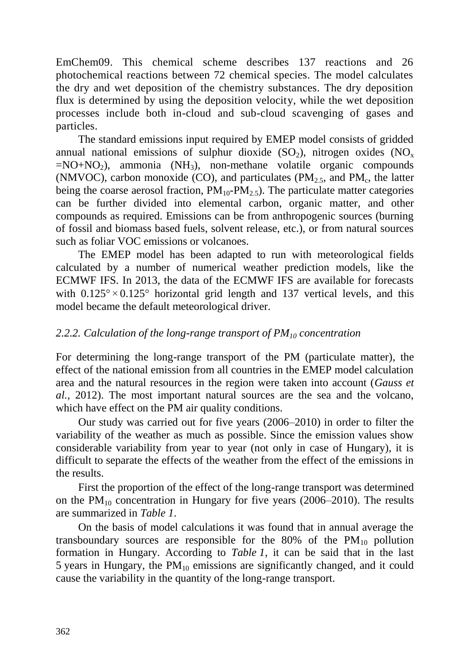EmChem09. This chemical scheme describes 137 reactions and 26 photochemical reactions between 72 chemical species. The model calculates the dry and wet deposition of the chemistry substances. The dry deposition flux is determined by using the deposition velocity, while the wet deposition processes include both in-cloud and sub-cloud scavenging of gases and particles.

The standard emissions input required by EMEP model consists of gridded annual national emissions of sulphur dioxide  $(SO_2)$ , nitrogen oxides  $(NO<sub>x</sub>)$  $=NO+NO<sub>2</sub>$ ), ammonia (NH<sub>3</sub>), non-methane volatile organic compounds (NMVOC), carbon monoxide (CO), and particulates ( $PM<sub>2.5</sub>$ , and  $PM<sub>c</sub>$ , the latter being the coarse aerosol fraction,  $PM_{10}$ - $PM_{2.5}$ ). The particulate matter categories can be further divided into elemental carbon, organic matter, and other compounds as required. Emissions can be from anthropogenic sources (burning of fossil and biomass based fuels, solvent release, etc.), or from natural sources such as foliar VOC emissions or volcanoes.

The EMEP model has been adapted to run with meteorological fields calculated by a number of numerical weather prediction models, like the ECMWF IFS. In 2013, the data of the ECMWF IFS are available for forecasts with  $0.125^{\circ} \times 0.125^{\circ}$  horizontal grid length and 137 vertical levels, and this model became the default meteorological driver.

## *2.2.2. Calculation of the long-range transport of PM<sup>10</sup> concentration*

For determining the long-range transport of the PM (particulate matter), the effect of the national emission from all countries in the EMEP model calculation area and the natural resources in the region were taken into account (*Gauss et al.,* 2012). The most important natural sources are the sea and the volcano, which have effect on the PM air quality conditions.

Our study was carried out for five years (2006–2010) in order to filter the variability of the weather as much as possible. Since the emission values show considerable variability from year to year (not only in case of Hungary), it is difficult to separate the effects of the weather from the effect of the emissions in the results.

First the proportion of the effect of the long-range transport was determined on the  $PM_{10}$  concentration in Hungary for five years (2006–2010). The results are summarized in *Table 1*.

On the basis of model calculations it was found that in annual average the transboundary sources are responsible for the  $80\%$  of the  $PM_{10}$  pollution formation in Hungary. According to *Table 1*, it can be said that in the last 5 years in Hungary, the  $PM_{10}$  emissions are significantly changed, and it could cause the variability in the quantity of the long-range transport.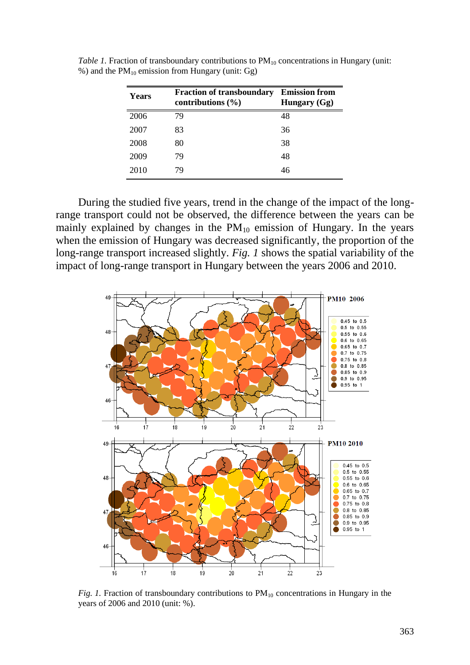| Years | <b>Fraction of transboundary</b><br>contributions $(\% )$ | <b>Emission from</b><br>Hungary $(Gg)$ |
|-------|-----------------------------------------------------------|----------------------------------------|
| 2006  | 79                                                        | 48                                     |
| 2007  | 83                                                        | 36                                     |
| 2008  | 80                                                        | 38                                     |
| 2009  | 79                                                        | 48                                     |
| 2010  | 79                                                        | 46                                     |

*Table 1.* Fraction of transboundary contributions to PM<sub>10</sub> concentrations in Hungary (unit: %) and the  $PM_{10}$  emission from Hungary (unit: Gg)

During the studied five years, trend in the change of the impact of the longrange transport could not be observed, the difference between the years can be mainly explained by changes in the  $PM_{10}$  emission of Hungary. In the years when the emission of Hungary was decreased significantly, the proportion of the long-range transport increased slightly. *Fig. 1* shows the spatial variability of the impact of long-range transport in Hungary between the years 2006 and 2010.



*Fig. 1.* Fraction of transboundary contributions to  $PM_{10}$  concentrations in Hungary in the years of 2006 and 2010 (unit: %).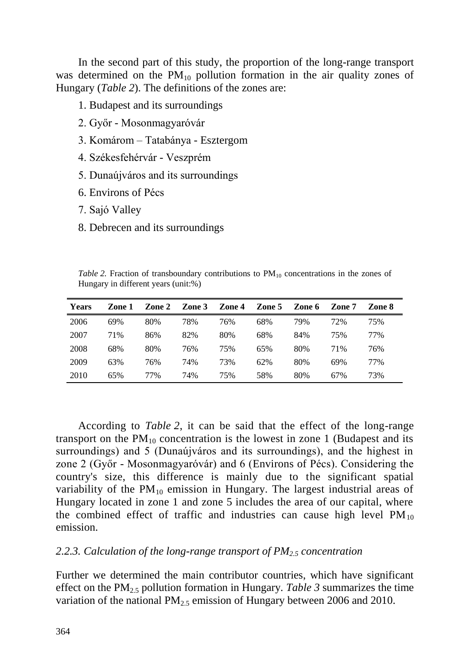In the second part of this study, the proportion of the long-range transport was determined on the  $PM_{10}$  pollution formation in the air quality zones of Hungary (*Table 2*). The definitions of the zones are:

1. Budapest and its surroundings

- 2. Győr Mosonmagyaróvár
- 3. Komárom Tatabánya Esztergom
- 4. Székesfehérvár Veszprém
- 5. Dunaújváros and its surroundings
- 6. Environs of Pécs
- 7. Sajó Valley
- 8. Debrecen and its surroundings

*Table* 2. Fraction of transboundary contributions to  $PM_{10}$  concentrations in the zones of Hungary in different years (unit:%)

| Years | Zone 1 | Zone 2 | Zone 3 | Zone 4 | Zone 5 | Zone 6 | Zone 7 | Zone 8 |
|-------|--------|--------|--------|--------|--------|--------|--------|--------|
| 2006  | 69%    | 80%    | 78%    | 76%    | 68%    | 79%    | 72%    | 75%    |
| 2007  | 71%    | 86%    | 82%    | 80%    | 68%    | 84%    | 75%    | 77%    |
| 2008  | 68%    | 80%    | 76%    | 75%    | 65%    | 80%    | 71%    | 76%    |
| 2009  | 63%    | 76%    | 74%    | 73%    | 62%    | 80%    | 69%    | 77%    |
| 2010  | 65%    | 77%    | 74%    | 75%    | 58%    | 80%    | 67%    | 73%    |

According to *Table 2*, it can be said that the effect of the long-range transport on the  $PM_{10}$  concentration is the lowest in zone 1 (Budapest and its surroundings) and 5 (Dunaújváros and its surroundings), and the highest in zone 2 (Győr - Mosonmagyaróvár) and 6 (Environs of Pécs). Considering the country's size, this difference is mainly due to the significant spatial variability of the  $PM_{10}$  emission in Hungary. The largest industrial areas of Hungary located in zone 1 and zone 5 includes the area of our capital, where the combined effect of traffic and industries can cause high level  $PM_{10}$ emission.

#### *2.2.3. Calculation of the long-range transport of PM2.5 concentration*

Further we determined the main contributor countries, which have significant effect on the PM2.5 pollution formation in Hungary. *Table 3* summarizes the time variation of the national  $PM_{2.5}$  emission of Hungary between 2006 and 2010.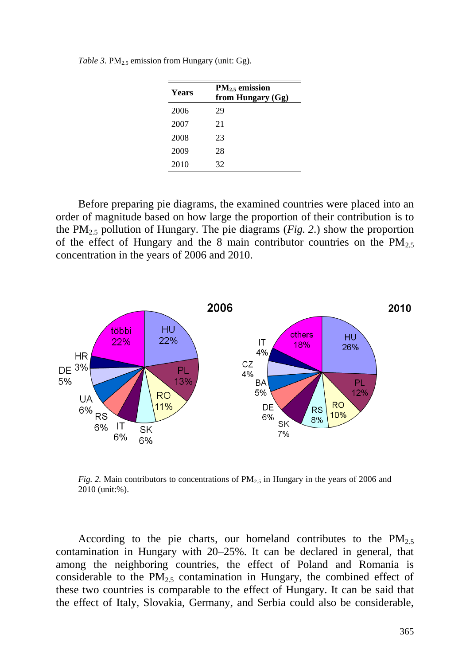| Years | $PM_{2.5}$ emission<br>from Hungary (Gg) |
|-------|------------------------------------------|
| 2006  | 29                                       |
| 2007  | 21                                       |
| 2008  | 23                                       |
| 2009  | 28                                       |
| 2010  | 32                                       |

*Table* 3. PM<sub>2.5</sub> emission from Hungary (unit: Gg).

Before preparing pie diagrams, the examined countries were placed into an order of magnitude based on how large the proportion of their contribution is to the PM<sub>2.5</sub> pollution of Hungary. The pie diagrams (*Fig.* 2.) show the proportion of the effect of Hungary and the 8 main contributor countries on the  $PM_{2.5}$ concentration in the years of 2006 and 2010.



*Fig.* 2. Main contributors to concentrations of  $PM_{2.5}$  in Hungary in the years of 2006 and 2010 (unit:%).

According to the pie charts, our homeland contributes to the  $PM_{2.5}$ contamination in Hungary with 20–25%. It can be declared in general, that among the neighboring countries, the effect of Poland and Romania is considerable to the  $PM<sub>2.5</sub>$  contamination in Hungary, the combined effect of these two countries is comparable to the effect of Hungary. It can be said that the effect of Italy, Slovakia, Germany, and Serbia could also be considerable,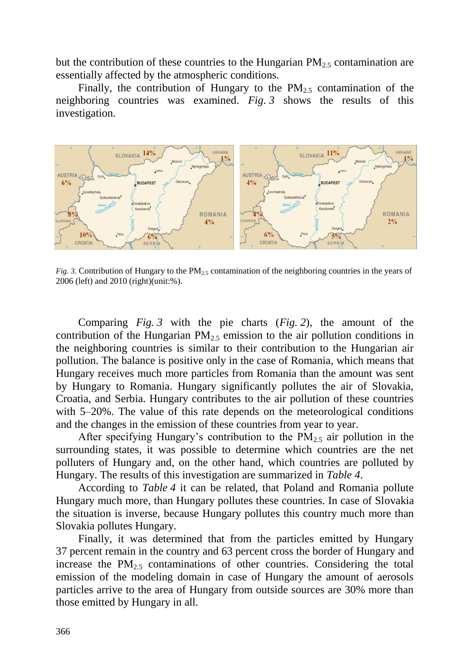but the contribution of these countries to the Hungarian  $PM_{2.5}$  contamination are essentially affected by the atmospheric conditions.

Finally, the contribution of Hungary to the  $PM_{2.5}$  contamination of the neighboring countries was examined. *Fig. 3* shows the results of this investigation.



*Fig.* 3. Contribution of Hungary to the PM<sub>2.5</sub> contamination of the neighboring countries in the years of 2006 (left) and 2010 (right)(unit:%).

Comparing *Fig. 3* with the pie charts (*Fig. 2*), the amount of the contribution of the Hungarian  $PM<sub>2.5</sub>$  emission to the air pollution conditions in the neighboring countries is similar to their contribution to the Hungarian air pollution. The balance is positive only in the case of Romania, which means that Hungary receives much more particles from Romania than the amount was sent by Hungary to Romania. Hungary significantly pollutes the air of Slovakia, Croatia, and Serbia. Hungary contributes to the air pollution of these countries with 5–20%. The value of this rate depends on the meteorological conditions and the changes in the emission of these countries from year to year.

After specifying Hungary's contribution to the  $PM<sub>25</sub>$  air pollution in the surrounding states, it was possible to determine which countries are the net polluters of Hungary and, on the other hand, which countries are polluted by Hungary. The results of this investigation are summarized in *Table 4*.

According to *Table 4* it can be related, that Poland and Romania pollute Hungary much more, than Hungary pollutes these countries. In case of Slovakia the situation is inverse, because Hungary pollutes this country much more than Slovakia pollutes Hungary.

Finally, it was determined that from the particles emitted by Hungary 37 percent remain in the country and 63 percent cross the border of Hungary and increase the  $PM<sub>2.5</sub>$  contaminations of other countries. Considering the total emission of the modeling domain in case of Hungary the amount of aerosols particles arrive to the area of Hungary from outside sources are 30% more than those emitted by Hungary in all.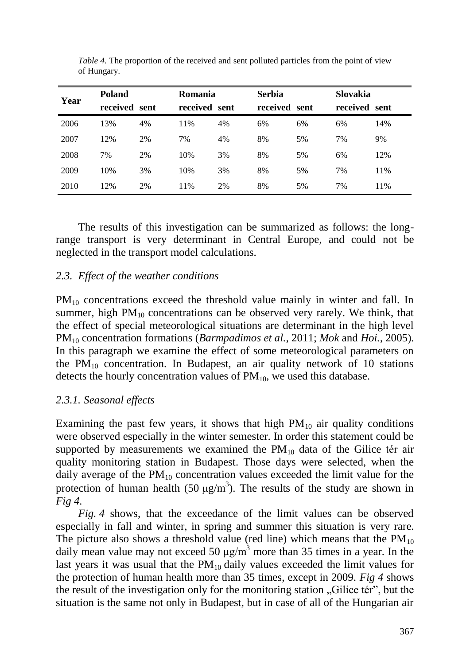| Year | <b>Poland</b> |    | <b>Romania</b> |    | <b>Serbia</b> |    | <b>Slovakia</b> |     |
|------|---------------|----|----------------|----|---------------|----|-----------------|-----|
|      | received sent |    | received sent  |    | received sent |    | received sent   |     |
| 2006 | 13%           | 4% | 11%            | 4% | 6%            | 6% | 6%              | 14% |
| 2007 | 12%           | 2% | 7%             | 4% | 8%            | 5% | 7%              | 9%  |
| 2008 | 7%            | 2% | 10%            | 3% | 8%            | 5% | 6%              | 12% |
| 2009 | 10%           | 3% | 10%            | 3% | 8%            | 5% | 7%              | 11% |
| 2010 | 12%           | 2% | 11%            | 2% | 8%            | 5% | 7%              | 11% |

*Table 4.* The proportion of the received and sent polluted particles from the point of view of Hungary.

The results of this investigation can be summarized as follows: the longrange transport is very determinant in Central Europe, and could not be neglected in the transport model calculations.

# *2.3. Effect of the weather conditions*

PM<sub>10</sub> concentrations exceed the threshold value mainly in winter and fall. In summer, high  $PM_{10}$  concentrations can be observed very rarely. We think, that the effect of special meteorological situations are determinant in the high level PM<sup>10</sup> concentration formations (*Barmpadimos et al.,* 2011; *Mok* and *Hoi.,* 2005). In this paragraph we examine the effect of some meteorological parameters on the  $PM_{10}$  concentration. In Budapest, an air quality network of 10 stations detects the hourly concentration values of  $PM_{10}$ , we used this database.

#### *2.3.1. Seasonal effects*

Examining the past few years, it shows that high  $PM_{10}$  air quality conditions were observed especially in the winter semester. In order this statement could be supported by measurements we examined the  $PM_{10}$  data of the Gilice tér air quality monitoring station in Budapest. Those days were selected, when the daily average of the  $PM_{10}$  concentration values exceeded the limit value for the protection of human health (50  $\mu$ g/m<sup>3</sup>). The results of the study are shown in *Fig 4.*

*Fig. 4* shows, that the exceedance of the limit values can be observed especially in fall and winter, in spring and summer this situation is very rare. The picture also shows a threshold value (red line) which means that the  $PM_{10}$ daily mean value may not exceed 50  $\mu$ g/m<sup>3</sup> more than 35 times in a year. In the last years it was usual that the  $PM_{10}$  daily values exceeded the limit values for the protection of human health more than 35 times, except in 2009. *Fig 4* shows the result of the investigation only for the monitoring station "Gilice tér", but the situation is the same not only in Budapest, but in case of all of the Hungarian air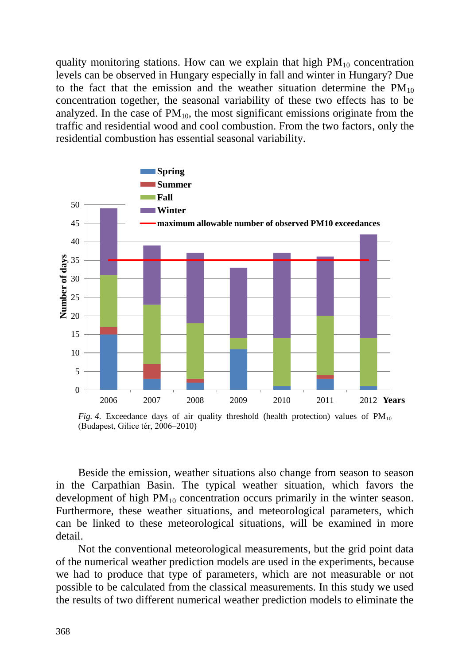quality monitoring stations. How can we explain that high  $PM_{10}$  concentration levels can be observed in Hungary especially in fall and winter in Hungary? Due to the fact that the emission and the weather situation determine the  $PM_{10}$ concentration together, the seasonal variability of these two effects has to be analyzed. In the case of  $PM_{10}$ , the most significant emissions originate from the traffic and residential wood and cool combustion. From the two factors, only the residential combustion has essential seasonal variability.



*Fig.* 4. Exceedance days of air quality threshold (health protection) values of  $PM_{10}$ (Budapest, Gilice tér, 2006–2010)

Beside the emission, weather situations also change from season to season in the Carpathian Basin. The typical weather situation, which favors the development of high  $PM_{10}$  concentration occurs primarily in the winter season. Furthermore, these weather situations, and meteorological parameters, which can be linked to these meteorological situations, will be examined in more detail.

Not the conventional meteorological measurements, but the grid point data of the numerical weather prediction models are used in the experiments, because we had to produce that type of parameters, which are not measurable or not possible to be calculated from the classical measurements. In this study we used the results of two different numerical weather prediction models to eliminate the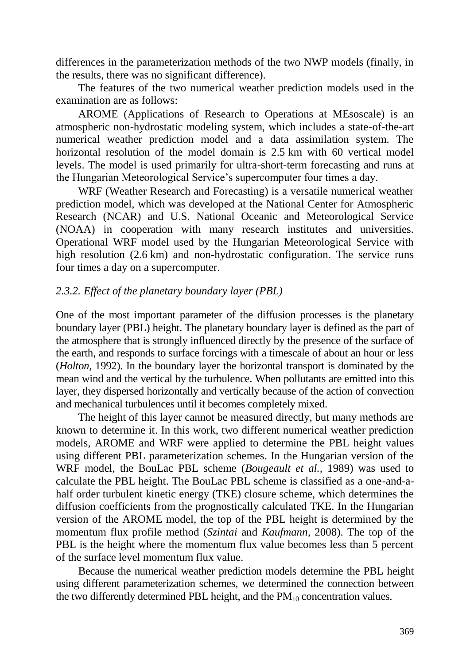differences in the parameterization methods of the two NWP models (finally, in the results, there was no significant difference).

The features of the two numerical weather prediction models used in the examination are as follows:

AROME (Applications of Research to Operations at MEsoscale) is an atmospheric non-hydrostatic modeling system, which includes a state-of-the-art numerical weather prediction model and a data assimilation system. The horizontal resolution of the model domain is 2.5 km with 60 vertical model levels. The model is used primarily for ultra-short-term forecasting and runs at the Hungarian Meteorological Service's supercomputer four times a day.

WRF (Weather Research and Forecasting) is a versatile numerical weather prediction model, which was developed at the National Center for Atmospheric Research (NCAR) and U.S. National Oceanic and Meteorological Service (NOAA) in cooperation with many research institutes and universities. Operational WRF model used by the Hungarian Meteorological Service with high resolution (2.6 km) and non-hydrostatic configuration. The service runs four times a day on a supercomputer.

### *2.3.2. Effect of the planetary boundary layer (PBL)*

One of the most important parameter of the diffusion processes is the planetary boundary layer (PBL) height. The planetary boundary layer is defined as the part of the atmosphere that is strongly influenced directly by the presence of the surface of the earth, and responds to surface forcings with a timescale of about an hour or less (*Holton,* 1992). In the boundary layer the horizontal transport is dominated by the mean wind and the vertical by the turbulence. When pollutants are emitted into this layer, they dispersed horizontally and vertically because of the action of convection and mechanical turbulences until it becomes completely mixed.

The height of this layer cannot be measured directly, but many methods are known to determine it. In this work, two different numerical weather prediction models, AROME and WRF were applied to determine the PBL height values using different PBL parameterization schemes. In the Hungarian version of the WRF model, the BouLac PBL scheme (*Bougeault et al.,* 1989) was used to calculate the PBL height. The BouLac PBL scheme is classified as a one-and-ahalf order turbulent kinetic energy (TKE) closure scheme, which determines the diffusion coefficients from the prognostically calculated TKE. In the Hungarian version of the AROME model, the top of the PBL height is determined by the momentum flux profile method (*Szintai* and *Kaufmann,* 2008). The top of the PBL is the height where the momentum flux value becomes less than 5 percent of the surface level momentum flux value.

Because the numerical weather prediction models determine the PBL height using different parameterization schemes, we determined the connection between the two differently determined PBL height, and the  $PM_{10}$  concentration values.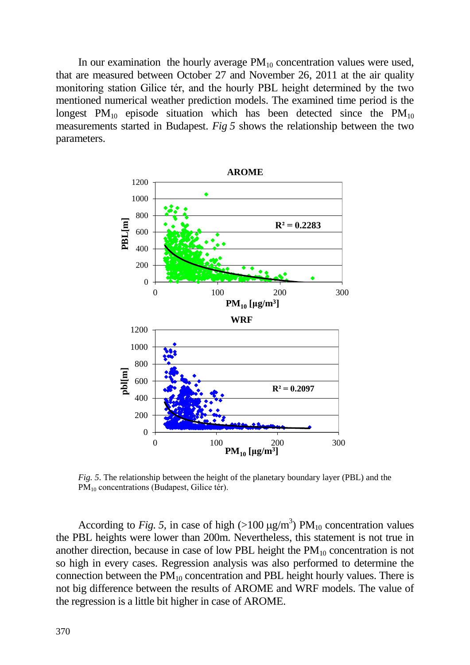In our examination the hourly average  $PM_{10}$  concentration values were used, that are measured between October 27 and November 26, 2011 at the air quality monitoring station Gilice tér, and the hourly PBL height determined by the two mentioned numerical weather prediction models. The examined time period is the longest  $PM_{10}$  episode situation which has been detected since the  $PM_{10}$ measurements started in Budapest. *Fig 5* shows the relationship between the two parameters.



*Fig. 5*. The relationship between the height of the planetary boundary layer (PBL) and the PM<sub>10</sub> concentrations (Budapest, Gilice tér).

According to *Fig.* 5, in case of high  $(>100 \mu g/m^3)$  PM<sub>10</sub> concentration values the PBL heights were lower than 200m. Nevertheless, this statement is not true in another direction, because in case of low PBL height the  $PM_{10}$  concentration is not so high in every cases. Regression analysis was also performed to determine the connection between the  $PM_{10}$  concentration and PBL height hourly values. There is not big difference between the results of AROME and WRF models. The value of the regression is a little bit higher in case of AROME.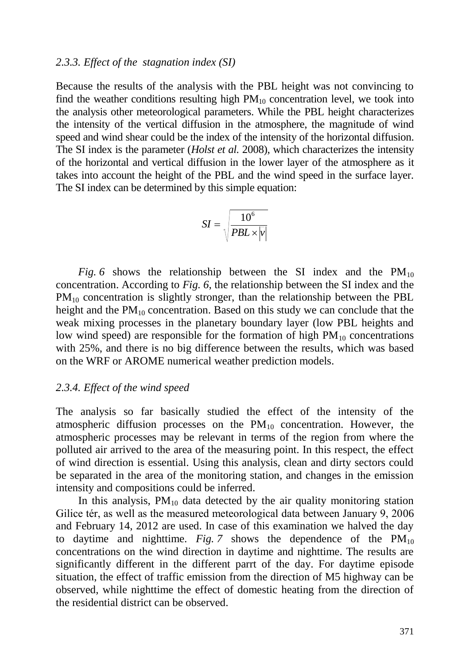#### *2.3.3. Effect of the stagnation index (SI)*

Because the results of the analysis with the PBL height was not convincing to find the weather conditions resulting high  $PM_{10}$  concentration level, we took into the analysis other meteorological parameters. While the PBL height characterizes the intensity of the vertical diffusion in the atmosphere, the magnitude of wind speed and wind shear could be the index of the intensity of the horizontal diffusion. The SI index is the parameter (*Holst et al.* 2008), which characterizes the intensity of the horizontal and vertical diffusion in the lower layer of the atmosphere as it takes into account the height of the PBL and the wind speed in the surface layer. The SI index can be determined by this simple equation:

$$
SI = \sqrt{\frac{10^6}{PBL \times |v|}}
$$

*Fig.* 6 shows the relationship between the SI index and the  $PM_{10}$ concentration. According to *Fig. 6*, the relationship between the SI index and the PM<sub>10</sub> concentration is slightly stronger, than the relationship between the PBL height and the  $PM_{10}$  concentration. Based on this study we can conclude that the weak mixing processes in the planetary boundary layer (low PBL heights and low wind speed) are responsible for the formation of high  $PM_{10}$  concentrations with 25%, and there is no big difference between the results, which was based on the WRF or AROME numerical weather prediction models.

#### *2.3.4. Effect of the wind speed*

The analysis so far basically studied the effect of the intensity of the atmospheric diffusion processes on the  $PM_{10}$  concentration. However, the atmospheric processes may be relevant in terms of the region from where the polluted air arrived to the area of the measuring point. In this respect, the effect of wind direction is essential. Using this analysis, clean and dirty sectors could be separated in the area of the monitoring station, and changes in the emission intensity and compositions could be inferred.

In this analysis,  $PM_{10}$  data detected by the air quality monitoring station Gilice tér, as well as the measured meteorological data between January 9, 2006 and February 14, 2012 are used. In case of this examination we halved the day to daytime and nighttime. *Fig.* 7 shows the dependence of the  $PM_{10}$ concentrations on the wind direction in daytime and nighttime. The results are significantly different in the different parrt of the day. For daytime episode situation, the effect of traffic emission from the direction of M5 highway can be observed, while nighttime the effect of domestic heating from the direction of the residential district can be observed.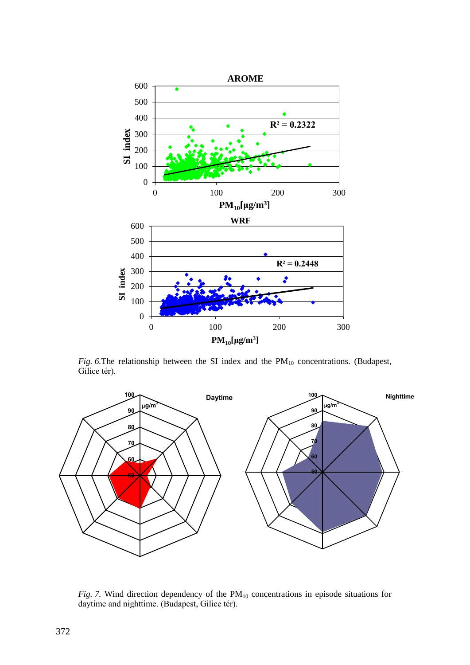

 $Fig. 6.$ The relationship between the SI index and the  $PM_{10}$  concentrations. (Budapest, Gilice tér).



*Fig.* 7. Wind direction dependency of the  $PM_{10}$  concentrations in episode situations for daytime and nighttime. (Budapest, Gilice tér).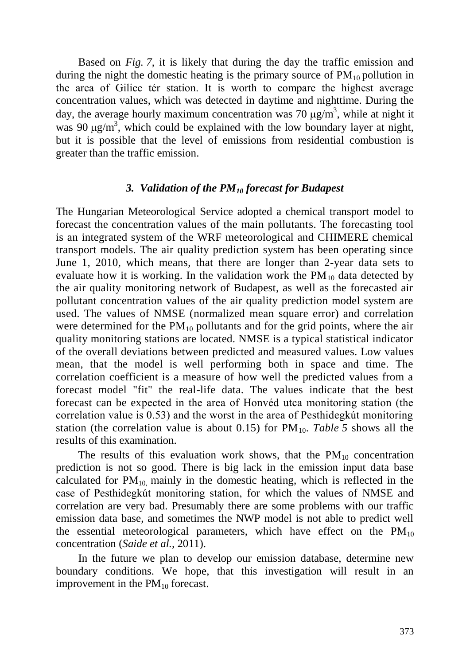Based on *Fig. 7*, it is likely that during the day the traffic emission and during the night the domestic heating is the primary source of  $PM_{10}$  pollution in the area of Gilice tér station. It is worth to compare the highest average concentration values, which was detected in daytime and nighttime. During the day, the average hourly maximum concentration was 70  $\mu$ g/m<sup>3</sup>, while at night it was 90  $\mu$ g/m<sup>3</sup>, which could be explained with the low boundary layer at night, but it is possible that the level of emissions from residential combustion is greater than the traffic emission.

#### *3. Validation of the PM<sup>10</sup> forecast for Budapest*

The Hungarian Meteorological Service adopted a chemical transport model to forecast the concentration values of the main pollutants. The forecasting tool is an integrated system of the WRF meteorological and CHIMERE chemical transport models. The air quality prediction system has been operating since June 1, 2010, which means, that there are longer than 2-year data sets to evaluate how it is working. In the validation work the  $PM_{10}$  data detected by the air quality monitoring network of Budapest, as well as the forecasted air pollutant concentration values of the air quality prediction model system are used. The values of NMSE (normalized mean square error) and correlation were determined for the  $PM_{10}$  pollutants and for the grid points, where the air quality monitoring stations are located. NMSE is a typical statistical indicator of the overall deviations between predicted and measured values. Low values mean, that the model is well performing both in space and time. The correlation coefficient is a measure of how well the predicted values from a forecast model "fit" the real-life data. The values indicate that the best forecast can be expected in the area of Honvéd utca monitoring station (the correlation value is 0.53) and the worst in the area of Pesthidegkút monitoring station (the correlation value is about 0.15) for  $PM_{10}$ . *Table* 5 shows all the results of this examination.

The results of this evaluation work shows, that the  $PM_{10}$  concentration prediction is not so good. There is big lack in the emission input data base calculated for  $PM_{10}$  mainly in the domestic heating, which is reflected in the case of Pesthidegkút monitoring station, for which the values of NMSE and correlation are very bad. Presumably there are some problems with our traffic emission data base, and sometimes the NWP model is not able to predict well the essential meteorological parameters, which have effect on the  $PM_{10}$ concentration (*Saide et al.,* 2011).

In the future we plan to develop our emission database, determine new boundary conditions. We hope, that this investigation will result in an improvement in the  $PM_{10}$  forecast.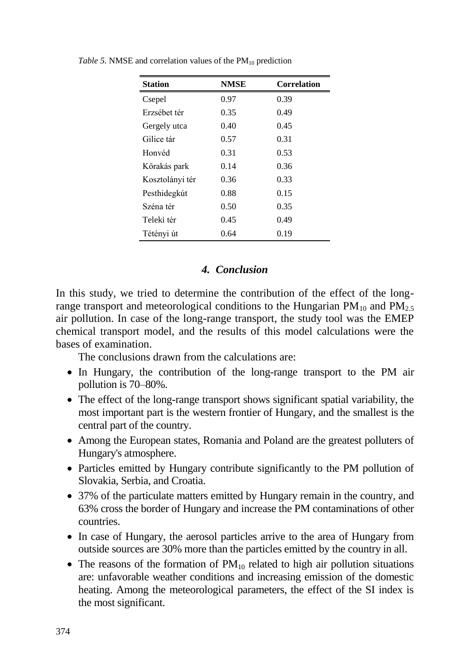| <b>Station</b>  | <b>NMSE</b> | <b>Correlation</b> |
|-----------------|-------------|--------------------|
| Csepel          | 0.97        | 0.39               |
| Erzsébet tér    | 0.35        | 0.49               |
| Gergely utca    | 0.40        | 0.45               |
| Gilice tár      | 0.57        | 0.31               |
| Honvéd          | 0.31        | 0.53               |
| Kőrakás park    | 0.14        | 0.36               |
| Kosztolányi tér | 0.36        | 0.33               |
| Pesthidegkút    | 0.88        | 0.15               |
| Széna tér       | 0.50        | 0.35               |
| Teleki tér      | 0.45        | 0.49               |
| Tétényi út      | 0.64        | 0.19               |

*Table* 5. NMSE and correlation values of the  $PM_{10}$  prediction

### *4. Conclusion*

In this study, we tried to determine the contribution of the effect of the longrange transport and meteorological conditions to the Hungarian  $PM_{10}$  and  $PM_{2.5}$ air pollution. In case of the long-range transport, the study tool was the EMEP chemical transport model, and the results of this model calculations were the bases of examination.

The conclusions drawn from the calculations are:

- In Hungary, the contribution of the long-range transport to the PM air pollution is 70–80%.
- The effect of the long-range transport shows significant spatial variability, the most important part is the western frontier of Hungary, and the smallest is the central part of the country.
- Among the European states, Romania and Poland are the greatest polluters of Hungary's atmosphere.
- Particles emitted by Hungary contribute significantly to the PM pollution of Slovakia, Serbia, and Croatia.
- 37% of the particulate matters emitted by Hungary remain in the country, and 63% cross the border of Hungary and increase the PM contaminations of other countries.
- In case of Hungary, the aerosol particles arrive to the area of Hungary from outside sources are 30% more than the particles emitted by the country in all.
- The reasons of the formation of  $PM_{10}$  related to high air pollution situations are: unfavorable weather conditions and increasing emission of the domestic heating. Among the meteorological parameters, the effect of the SI index is the most significant.